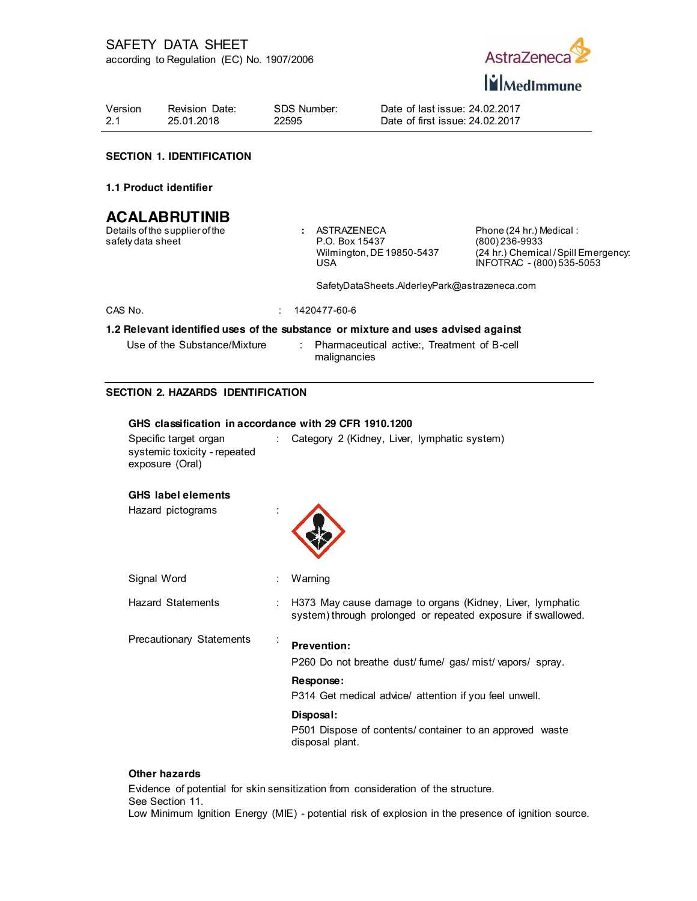

Version 2.1 Revision Date: 25.01.2018

SDS Number: 22595

Date of last issue: 24.02.2017 Date of first issue: 24.02.2017

## **SECTION 1. IDENTIFICATION**

### **1.1 Product identifier**

# **ACALABRUTINIB**

Details of the supplier of the safety data sheet

**:** ASTRAZENECA P.O. Box 15437 Wilmington, DE 19850-5437 USA

Phone (24 hr.) Medical : (800) 236-9933 (24 hr.) Chemical / Spill Emergency: INFOTRAC - (800) 535-5053

SafetyDataSheets.AlderleyPark@astrazeneca.com

CAS No. : 1420477-60-6

### **1.2 Relevant identified uses of the substance or mixture and uses advised against**

Use of the Substance/Mixture : Pharmaceutical active:, Treatment of B-cell malignancies

## **SECTION 2. HAZARDS IDENTIFICATION**

| GHS classification in accordance with 29 CFR 1910.1200                   |   |                                                                                                                           |  |  |  |  |
|--------------------------------------------------------------------------|---|---------------------------------------------------------------------------------------------------------------------------|--|--|--|--|
| Specific target organ<br>systemic toxicity - repeated<br>exposure (Oral) | ÷ | Category 2 (Kidney, Liver, lymphatic system)                                                                              |  |  |  |  |
| <b>GHS</b> label elements                                                |   |                                                                                                                           |  |  |  |  |
| Hazard pictograms                                                        |   |                                                                                                                           |  |  |  |  |
| Signal Word                                                              |   | Warning                                                                                                                   |  |  |  |  |
| <b>Hazard Statements</b>                                                 |   | H373 May cause damage to organs (Kidney, Liver, lymphatic<br>system) through prolonged or repeated exposure if swallowed. |  |  |  |  |
| <b>Precautionary Statements</b>                                          |   | <b>Prevention:</b><br>P260 Do not breathe dust/fume/gas/mist/vapors/spray.                                                |  |  |  |  |
|                                                                          |   | Response:<br>P314 Get medical advice/ attention if you feel unwell.                                                       |  |  |  |  |
|                                                                          |   | Disposal:<br>P501 Dispose of contents/ container to an approved waste<br>disposal plant.                                  |  |  |  |  |

### **Other hazards**

Evidence of potential for skin sensitization from consideration of the structure. See Section 11. Low Minimum Ignition Energy (MIE) - potential risk of explosion in the presence of ignition source.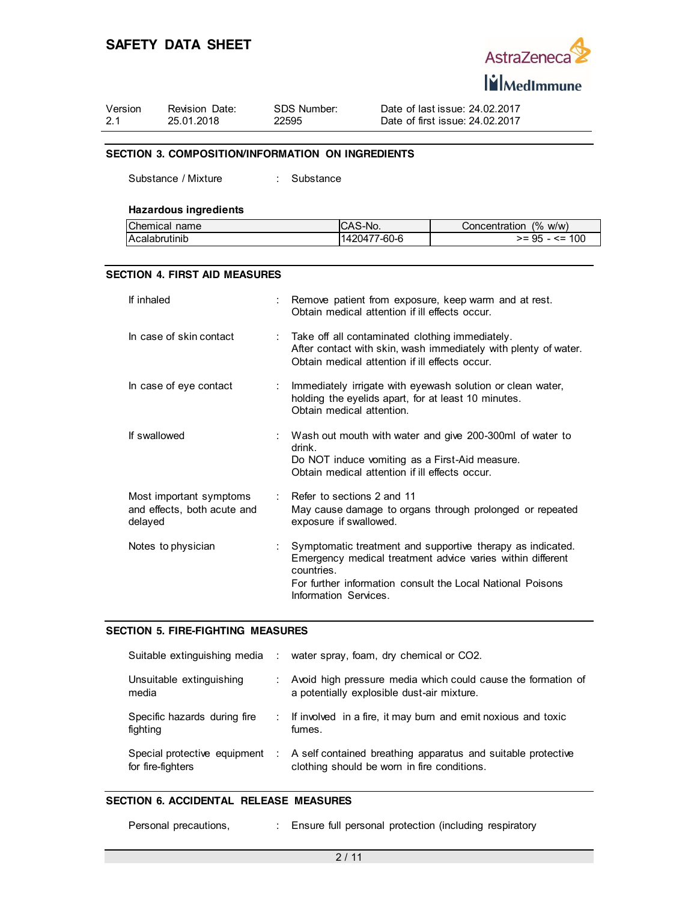

| Version | Revision Date: | SDS Number: |  |
|---------|----------------|-------------|--|
| 2.1     | 25.01.2018     | 22595       |  |

Date of last issue: 24.02.2017 Date of first issue: 24.02.2017

### **SECTION 3. COMPOSITION/INFORMATION ON INGREDIENTS**

Substance / Mixture : Substance

## **Hazardous ingredients**

| Chemical name        | ICAS-No.     | Concentration (% w/w) |
|----------------------|--------------|-----------------------|
| <b>Acalabrutinib</b> | 1420477-60-6 | $>= 95 - 5 = 100$     |

### **SECTION 4. FIRST AID MEASURES**

| If inhaled                                                        | Remove patient from exposure, keep warm and at rest.<br>Obtain medical attention if ill effects occur.                                                                                                                        |
|-------------------------------------------------------------------|-------------------------------------------------------------------------------------------------------------------------------------------------------------------------------------------------------------------------------|
| In case of skin contact                                           | : Take off all contaminated clothing immediately.<br>After contact with skin, wash immediately with plenty of water.<br>Obtain medical attention if ill effects occur.                                                        |
| In case of eye contact                                            | : Immediately irrigate with eyewash solution or clean water,<br>holding the eyelids apart, for at least 10 minutes.<br>Obtain medical attention.                                                                              |
| If swallowed                                                      | : Wash out mouth with water and give 200-300ml of water to<br>drink.<br>Do NOT induce vomiting as a First-Aid measure.<br>Obtain medical attention if ill effects occur.                                                      |
| Most important symptoms<br>and effects, both acute and<br>delayed | $\therefore$ Refer to sections 2 and 11<br>May cause damage to organs through prolonged or repeated<br>exposure if swallowed.                                                                                                 |
| Notes to physician                                                | Symptomatic treatment and supportive therapy as indicated.<br>Emergency medical treatment advice varies within different<br>countries.<br>For further information consult the Local National Poisons<br>Information Services. |

### **SECTION 5. FIRE-FIGHTING MEASURES**

|                                                   | Suitable extinguishing media : water spray, foam, dry chemical or CO2.                                        |
|---------------------------------------------------|---------------------------------------------------------------------------------------------------------------|
| Unsuitable extinguishing<br>media                 | Avoid high pressure media which could cause the formation of<br>a potentially explosible dust-air mixture.    |
| Specific hazards during fire<br>fighting          | : If involved in a fire, it may burn and emit noxious and toxic<br>fumes.                                     |
| Special protective equipment<br>for fire-fighters | : A self contained breathing apparatus and suitable protective<br>clothing should be worn in fire conditions. |

## **SECTION 6. ACCIDENTAL RELEASE MEASURES**

| Personal precautions, |  | Ensure full personal protection (including respiratory |  |  |  |
|-----------------------|--|--------------------------------------------------------|--|--|--|
|-----------------------|--|--------------------------------------------------------|--|--|--|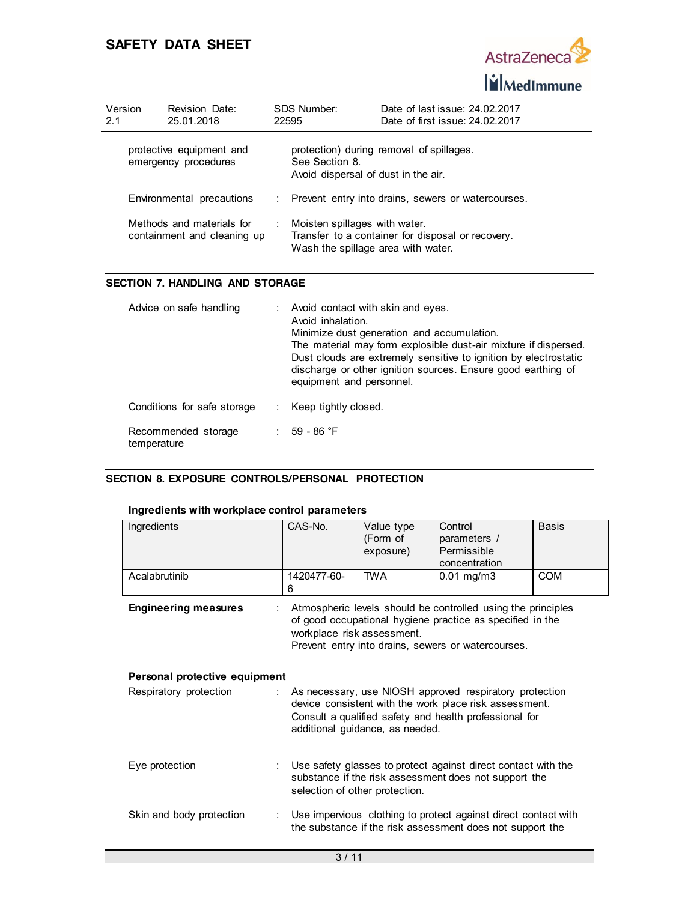

| Version<br>2.1 | Revision Date:<br>25.01.2018                             |   | SDS Number:<br>22595                                                | Date of last issue: 24.02.2017<br>Date of first issue: 24,02,2017 |
|----------------|----------------------------------------------------------|---|---------------------------------------------------------------------|-------------------------------------------------------------------|
|                | protective equipment and<br>emergency procedures         |   | See Section 8.<br>Avoid dispersal of dust in the air.               | protection) during removal of spillages.                          |
|                | Environmental precautions                                |   |                                                                     | : Prevent entry into drains, sewers or watercourses.              |
|                | Methods and materials for<br>containment and cleaning up | ÷ | Moisten spillages with water.<br>Wash the spillage area with water. | Transfer to a container for disposal or recovery.                 |

## **SECTION 7. HANDLING AND STORAGE**

| Advice on safe handling            | Avoid contact with skin and eyes.<br>Avoid inhalation.<br>Minimize dust generation and accumulation.<br>The material may form explosible dust-air mixture if dispersed.<br>Dust clouds are extremely sensitive to ignition by electrostatic<br>discharge or other ignition sources. Ensure good earthing of<br>equipment and personnel. |
|------------------------------------|-----------------------------------------------------------------------------------------------------------------------------------------------------------------------------------------------------------------------------------------------------------------------------------------------------------------------------------------|
| Conditions for safe storage        | Keep tightly closed.                                                                                                                                                                                                                                                                                                                    |
| Recommended storage<br>temperature | 59 - 86 °F                                                                                                                                                                                                                                                                                                                              |

## **SECTION 8. EXPOSURE CONTROLS/PERSONAL PROTECTION**

## **Ingredients with workplace control parameters**

| <b>Ingredients</b>            | CAS-No.                    | Value type<br>(Form of<br>exposure) | Control<br>parameters /<br>Permissible<br>concentration                                                                                                                         | <b>Basis</b> |
|-------------------------------|----------------------------|-------------------------------------|---------------------------------------------------------------------------------------------------------------------------------------------------------------------------------|--------------|
| Acalabrutinib                 | 1420477-60-<br>6           | <b>TWA</b>                          | $0.01$ mg/m3                                                                                                                                                                    | <b>COM</b>   |
| <b>Engineering measures</b>   | workplace risk assessment. |                                     | Atmospheric levels should be controlled using the principles<br>of good occupational hygiene practice as specified in the<br>Prevent entry into drains, sewers or watercourses. |              |
| Personal protective equipment |                            |                                     |                                                                                                                                                                                 |              |
| Respiratory protection<br>÷.  |                            | additional guidance, as needed.     | As necessary, use NIOSH approved respiratory protection<br>device consistent with the work place risk assessment.<br>Consult a qualified safety and health professional for     |              |
| Eye protection                |                            | selection of other protection.      | Use safety glasses to protect against direct contact with the<br>substance if the risk assessment does not support the                                                          |              |
| Skin and body protection      |                            |                                     | Use impervious clothing to protect against direct contact with<br>the substance if the risk assessment does not support the                                                     |              |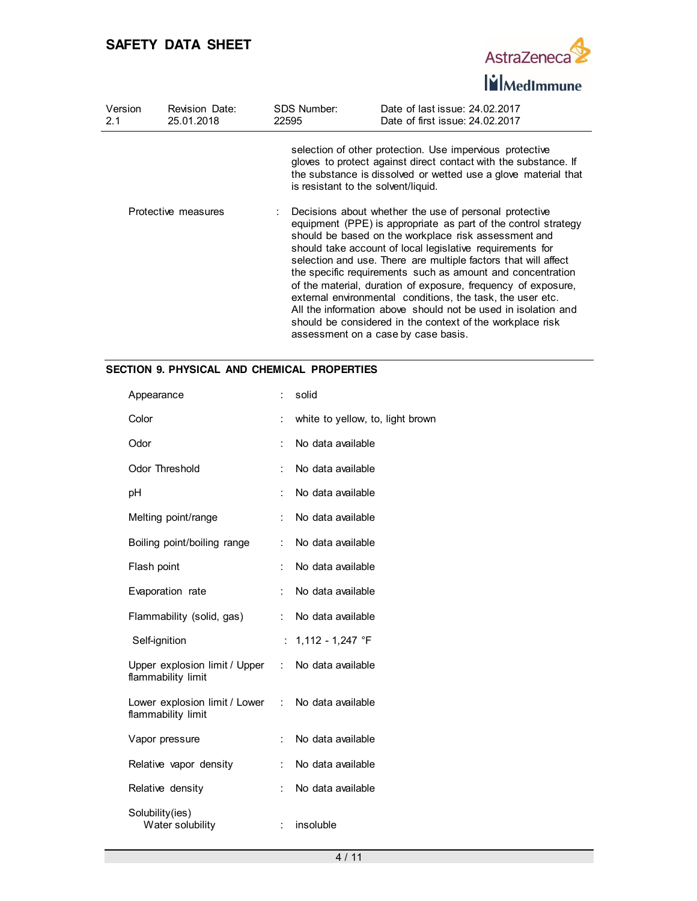

| Version<br>2.1 | Revision Date:<br>25.01.2018 | SDS Number:<br>22595                | Date of last issue: 24.02.2017<br>Date of first issue: 24.02.2017                                                                                                                                                                                                                                                                                                                                                                                                                                                                                                                                                                                                                 |
|----------------|------------------------------|-------------------------------------|-----------------------------------------------------------------------------------------------------------------------------------------------------------------------------------------------------------------------------------------------------------------------------------------------------------------------------------------------------------------------------------------------------------------------------------------------------------------------------------------------------------------------------------------------------------------------------------------------------------------------------------------------------------------------------------|
|                |                              | is resistant to the solvent/liquid. | selection of other protection. Use impervious protective<br>gloves to protect against direct contact with the substance. If<br>the substance is dissolved or wetted use a glove material that                                                                                                                                                                                                                                                                                                                                                                                                                                                                                     |
|                | Protective measures          |                                     | Decisions about whether the use of personal protective<br>equipment (PPE) is appropriate as part of the control strategy<br>should be based on the workplace risk assessment and<br>should take account of local legislative requirements for<br>selection and use. There are multiple factors that will affect<br>the specific requirements such as amount and concentration<br>of the material, duration of exposure, frequency of exposure,<br>external environmental conditions, the task, the user etc.<br>All the information above should not be used in isolation and<br>should be considered in the context of the workplace risk<br>assessment on a case by case basis. |

## **SECTION 9. PHYSICAL AND CHEMICAL PROPERTIES**

| Appearance                                                              | $\ddot{\phantom{a}}$ | solid                            |
|-------------------------------------------------------------------------|----------------------|----------------------------------|
| Color                                                                   | İ.                   | white to yellow, to, light brown |
| Odor                                                                    |                      | No data available                |
| <b>Odor Threshold</b>                                                   | $\ddot{\phantom{a}}$ | No data available                |
| рH                                                                      | ÷                    | No data available                |
| Melting point/range                                                     | $\ddot{\cdot}$       | No data available                |
| Boiling point/boiling range                                             | ÷                    | No data available                |
| Flash point                                                             | $\ddot{\cdot}$       | No data available                |
| Evaporation rate                                                        |                      | No data available                |
| Flammability (solid, gas)                                               | ÷.                   | No data available                |
| Self-ignition                                                           | ÷                    | 1,112 - 1,247 °F                 |
| Upper explosion limit / Upper :<br>flammability limit                   |                      | No data available                |
| Lower explosion limit / Lower : No data available<br>flammability limit |                      |                                  |
| Vapor pressure                                                          | $\ddot{\cdot}$       | No data available                |
| Relative vapor density                                                  | $\ddot{\cdot}$       | No data available                |
| Relative density                                                        | $\ddot{\cdot}$       | No data available                |
| Solubility(ies)<br>Water solubility                                     |                      | insoluble                        |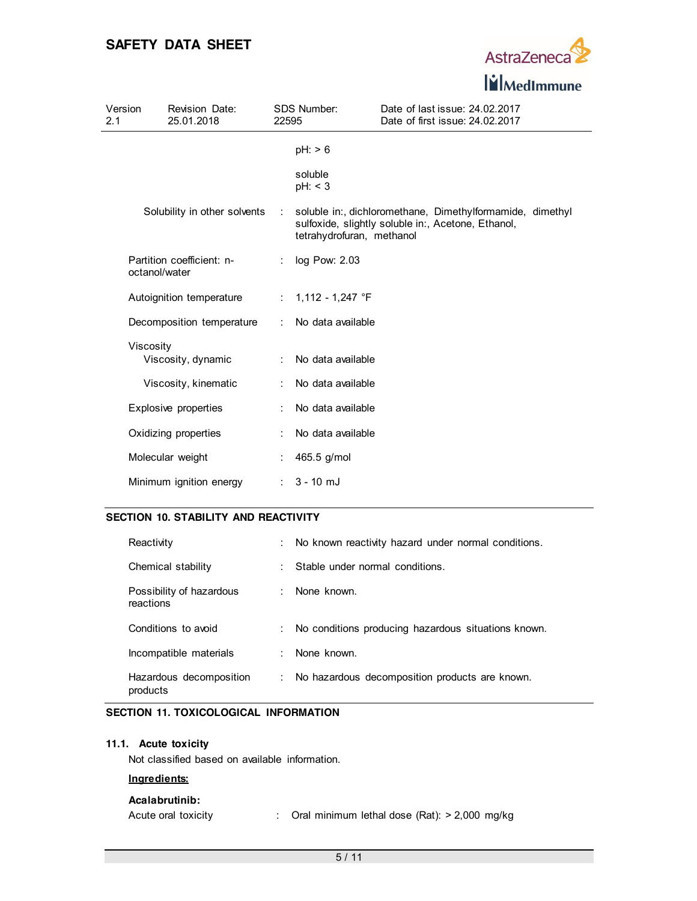

| Version<br>2.1 |               | Revision Date:<br>25.01.2018 | 22595                | SDS Number:               | Date of last issue: 24,02,2017<br>Date of first issue: 24.02.2017                                               |
|----------------|---------------|------------------------------|----------------------|---------------------------|-----------------------------------------------------------------------------------------------------------------|
|                |               |                              |                      | $pH: \geq 6$              |                                                                                                                 |
|                |               |                              |                      | soluble<br>pH: < 3        |                                                                                                                 |
|                |               | Solubility in other solvents | ÷.                   | tetrahydrofuran, methanol | soluble in:, dichloromethane, Dimethylformamide, dimethyl<br>sulfoxide, slightly soluble in:, Acetone, Ethanol, |
|                | octanol/water | Partition coefficient: n-    |                      | log Pow: 2.03             |                                                                                                                 |
|                |               | Autoignition temperature     |                      | : $1,112 - 1,247$ °F      |                                                                                                                 |
|                |               | Decomposition temperature    | ÷                    | No data available         |                                                                                                                 |
|                | Viscosity     |                              |                      |                           |                                                                                                                 |
|                |               | Viscosity, dynamic           |                      | No data available         |                                                                                                                 |
|                |               | Viscosity, kinematic         | $\ddot{\phantom{a}}$ | No data available         |                                                                                                                 |
|                |               | Explosive properties         |                      | No data available         |                                                                                                                 |
|                |               | Oxidizing properties         |                      | No data available         |                                                                                                                 |
|                |               | Molecular weight             |                      | 465.5 g/mol               |                                                                                                                 |
|                |               | Minimum ignition energy      | $\ddot{\phantom{a}}$ | $3 - 10$ mJ               |                                                                                                                 |

## **SECTION 10. STABILITY AND REACTIVITY**

| Reactivity                            |    | No known reactivity hazard under normal conditions. |
|---------------------------------------|----|-----------------------------------------------------|
| Chemical stability                    |    | Stable under normal conditions.                     |
| Possibility of hazardous<br>reactions |    | None known.                                         |
| Conditions to avoid                   | ÷. | No conditions producing hazardous situations known. |
| Incompatible materials                |    | None known.                                         |
| Hazardous decomposition<br>products   | t. | No hazardous decomposition products are known.      |

## **SECTION 11. TOXICOLOGICAL INFORMATION**

### **11.1. Acute toxicity**

Not classified based on available information.

### **Ingredients:**

#### **Acalabrutinib:**

Acute oral toxicity : Oral minimum lethal dose (Rat): > 2,000 mg/kg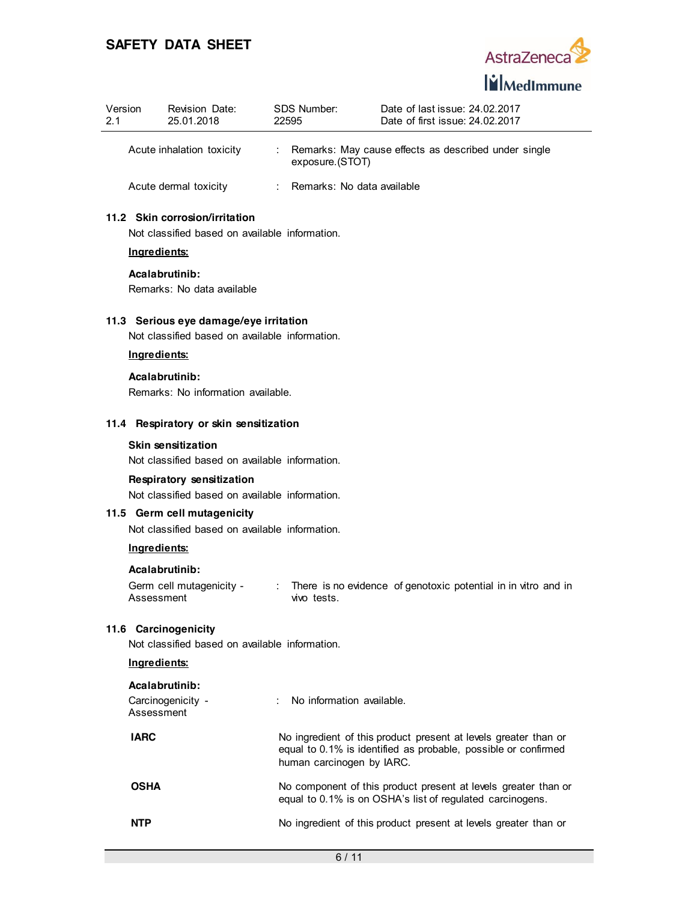

| Version<br>21 | Revision Date:<br>25.01.2018 | SDS Number:<br>22595       | Date of last issue: 24.02.2017<br>Date of first issue: 24.02.2017 |
|---------------|------------------------------|----------------------------|-------------------------------------------------------------------|
|               | Acute inhalation toxicity    | exposure.(STOT)            | Remarks: May cause effects as described under single              |
|               | Acute dermal toxicity        | Remarks: No data available |                                                                   |

## **11.2 Skin corrosion/irritation**

Not classified based on available information.

## **Ingredients:**

**Acalabrutinib:**

Remarks: No data available

### **11.3 Serious eye damage/eye irritation**

Not classified based on available information.

### **Ingredients:**

**Acalabrutinib:** Remarks: No information available.

## **11.4 Respiratory or skin sensitization**

### **Skin sensitization**

Not classified based on available information.

### **Respiratory sensitization**

Not classified based on available information.

## **11.5 Germ cell mutagenicity**

Not classified based on available information.

#### **Ingredients:**

### **Acalabrutinib:**

| Germ cell mutagenicity - | There is no evidence of genotoxic potential in in vitro and in |  |  |  |
|--------------------------|----------------------------------------------------------------|--|--|--|
| Assessment               | vivo tests.                                                    |  |  |  |

### **11.6 Carcinogenicity**

Not classified based on available information.

## **Ingredients:**

| Acalabrutinib:<br>Carcinogenicity -<br>Assessment | : No information available.                                                                                                                                    |
|---------------------------------------------------|----------------------------------------------------------------------------------------------------------------------------------------------------------------|
| <b>IARC</b>                                       | No ingredient of this product present at levels greater than or<br>equal to 0.1% is identified as probable, possible or confirmed<br>human carcinogen by IARC. |
| <b>OSHA</b>                                       | No component of this product present at levels greater than or<br>equal to 0.1% is on OSHA's list of regulated carcinogens.                                    |
| <b>NTP</b>                                        | No ingredient of this product present at levels greater than or                                                                                                |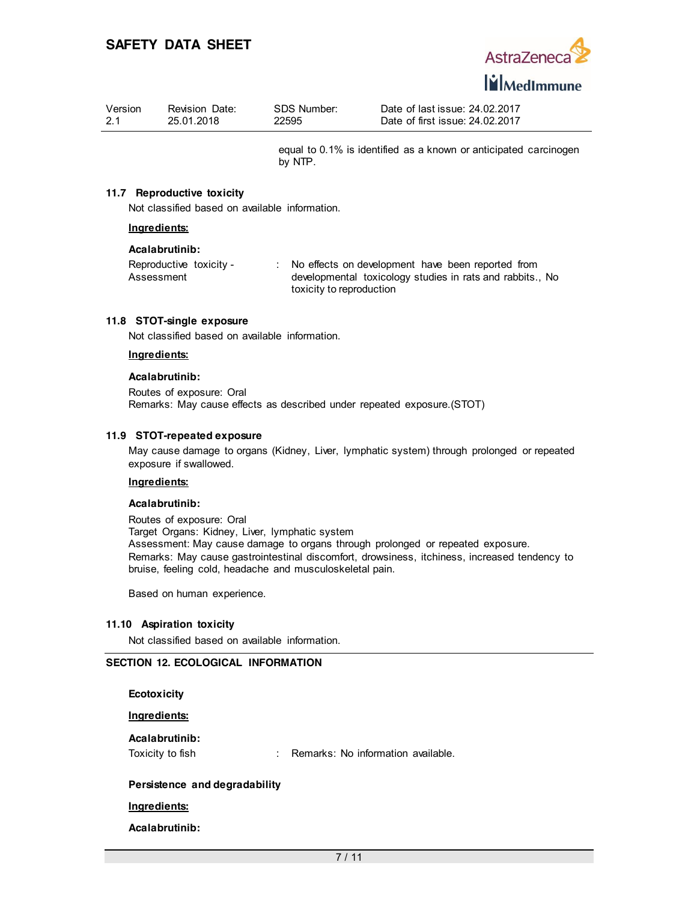

| Version | Revision Date: | SDS Number: | Date of last issue: 24,02,2017  |
|---------|----------------|-------------|---------------------------------|
| 2.1     | 25.01.2018     | 22595       | Date of first issue: 24.02.2017 |

equal to 0.1% is identified as a known or anticipated carcinogen by NTP.

### **11.7 Reproductive toxicity**

Not classified based on available information.

### **Ingredients:**

#### **Acalabrutinib:**

| Reproductive toxicity - | No effects on development have been reported from       |
|-------------------------|---------------------------------------------------------|
| Assessment              | developmental toxicology studies in rats and rabbits No |
|                         | toxicity to reproduction                                |

#### **11.8 STOT-single exposure**

Not classified based on available information.

### **Ingredients:**

#### **Acalabrutinib:**

Routes of exposure: Oral Remarks: May cause effects as described under repeated exposure.(STOT)

#### **11.9 STOT-repeated exposure**

May cause damage to organs (Kidney, Liver, lymphatic system) through prolonged or repeated exposure if swallowed.

### **Ingredients:**

#### **Acalabrutinib:**

Routes of exposure: Oral Target Organs: Kidney, Liver, lymphatic system Assessment: May cause damage to organs through prolonged or repeated exposure. Remarks: May cause gastrointestinal discomfort, drowsiness, itchiness, increased tendency to bruise, feeling cold, headache and musculoskeletal pain.

Based on human experience.

### **11.10 Aspiration toxicity**

Not classified based on available information.

### **SECTION 12. ECOLOGICAL INFORMATION**

**Ecotoxicity**

**Ingredients:**

**Acalabrutinib:**

Toxicity to fish : Remarks: No information available.

### **Persistence and degradability**

**Ingredients:**

**Acalabrutinib:**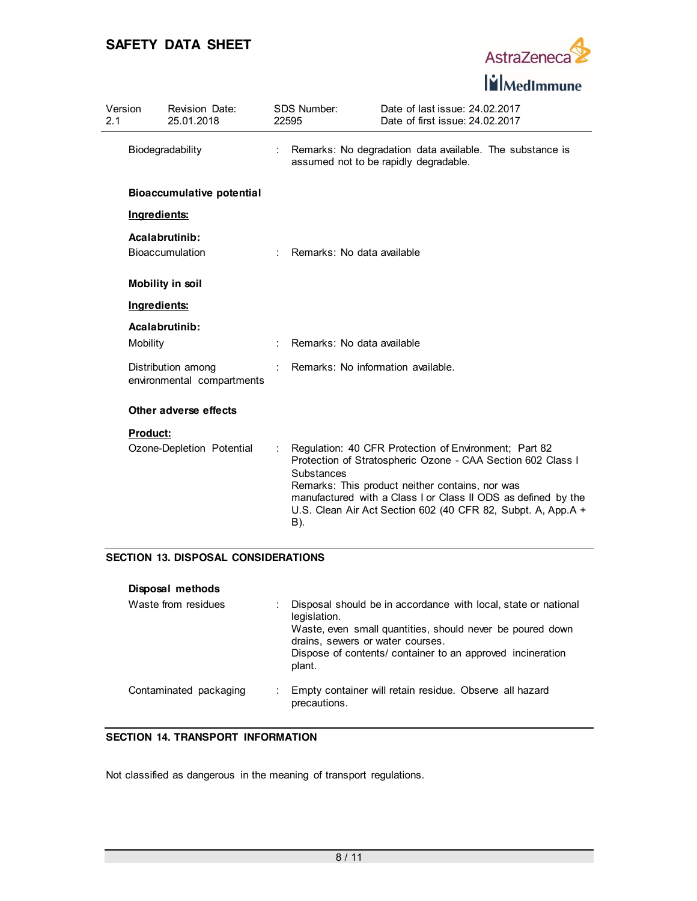

| Version<br>2.1 |                 | Revision Date:<br>25.01.2018                     |                             | SDS Number:<br>22595               | Date of last issue: 24.02.2017<br>Date of first issue: 24.02.2017                                                                                                                                                                                                                                        |  |
|----------------|-----------------|--------------------------------------------------|-----------------------------|------------------------------------|----------------------------------------------------------------------------------------------------------------------------------------------------------------------------------------------------------------------------------------------------------------------------------------------------------|--|
|                |                 | Biodegradability                                 | ÷                           |                                    | Remarks: No degradation data available. The substance is<br>assumed not to be rapidly degradable.                                                                                                                                                                                                        |  |
|                |                 | <b>Bioaccumulative potential</b>                 |                             |                                    |                                                                                                                                                                                                                                                                                                          |  |
|                | Ingredients:    |                                                  |                             |                                    |                                                                                                                                                                                                                                                                                                          |  |
|                |                 | Acalabrutinib:<br><b>Bioaccumulation</b>         | $\mathcal{L}^{\mathcal{L}}$ | Remarks: No data available         |                                                                                                                                                                                                                                                                                                          |  |
|                |                 | <b>Mobility in soil</b>                          |                             |                                    |                                                                                                                                                                                                                                                                                                          |  |
|                | Ingredients:    |                                                  |                             |                                    |                                                                                                                                                                                                                                                                                                          |  |
|                |                 | Acalabrutinib:                                   |                             |                                    |                                                                                                                                                                                                                                                                                                          |  |
|                | Mobility        |                                                  |                             | Remarks: No data available         |                                                                                                                                                                                                                                                                                                          |  |
|                |                 | Distribution among<br>environmental compartments |                             | Remarks: No information available. |                                                                                                                                                                                                                                                                                                          |  |
|                |                 | Other adverse effects                            |                             |                                    |                                                                                                                                                                                                                                                                                                          |  |
|                | <b>Product:</b> |                                                  |                             |                                    |                                                                                                                                                                                                                                                                                                          |  |
|                |                 | Ozone-Depletion Potential                        |                             | Substances<br>B).                  | Regulation: 40 CFR Protection of Environment; Part 82<br>Protection of Stratospheric Ozone - CAA Section 602 Class I<br>Remarks: This product neither contains, nor was<br>manufactured with a Class I or Class II ODS as defined by the<br>U.S. Clean Air Act Section 602 (40 CFR 82, Subpt. A, App.A + |  |

## **SECTION 13. DISPOSAL CONSIDERATIONS**

| Disposal methods       |                                                                                                                                                                                                                                                         |
|------------------------|---------------------------------------------------------------------------------------------------------------------------------------------------------------------------------------------------------------------------------------------------------|
| Waste from residues    | Disposal should be in accordance with local, state or national<br>legislation.<br>Waste, even small quantities, should never be poured down<br>drains, sewers or water courses.<br>Dispose of contents/ container to an approved incineration<br>plant. |
| Contaminated packaging | Empty container will retain residue. Observe all hazard<br>precautions.                                                                                                                                                                                 |

## **SECTION 14. TRANSPORT INFORMATION**

Not classified as dangerous in the meaning of transport regulations.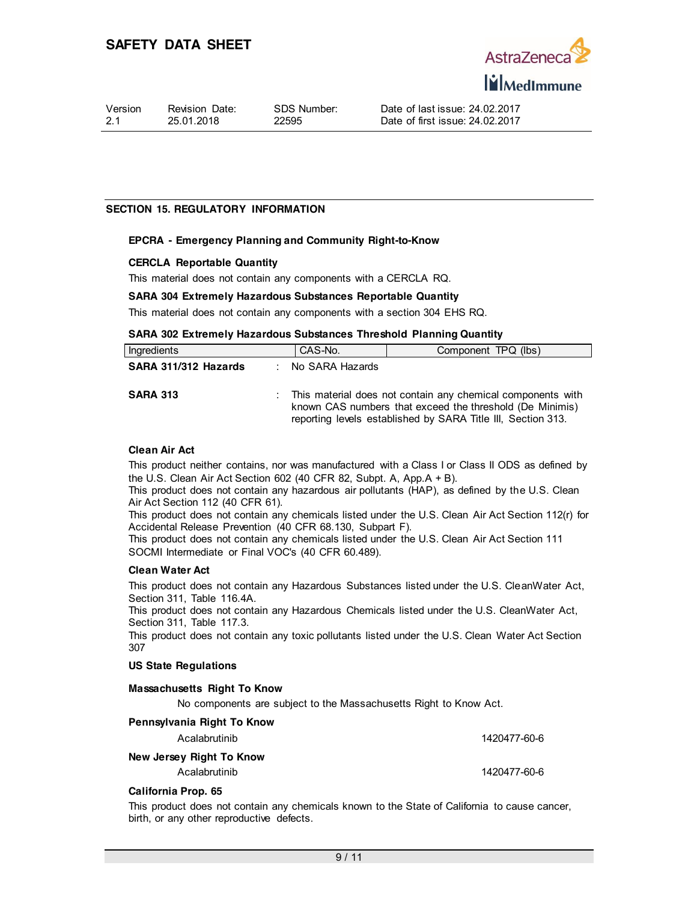

### **SECTION 15. REGULATORY INFORMATION**

### **EPCRA - Emergency Planning and Community Right-to-Know**

### **CERCLA Reportable Quantity**

This material does not contain any components with a CERCLA RQ.

### **SARA 304 Extremely Hazardous Substances Reportable Quantity**

This material does not contain any components with a section 304 EHS RQ.

### **SARA 302 Extremely Hazardous Substances Threshold Planning Quantity**

| Ingredients          | CAS-No.           | Component TPQ (lbs)                                                                                                                                                                     |
|----------------------|-------------------|-----------------------------------------------------------------------------------------------------------------------------------------------------------------------------------------|
| SARA 311/312 Hazards | : No SARA Hazards |                                                                                                                                                                                         |
| <b>SARA 313</b>      |                   | This material does not contain any chemical components with<br>known CAS numbers that exceed the threshold (De Minimis)<br>reporting levels established by SARA Title III, Section 313. |

### **Clean Air Act**

This product neither contains, nor was manufactured with a Class I or Class II ODS as defined by the U.S. Clean Air Act Section 602 (40 CFR 82, Subpt. A, App.A + B).

This product does not contain any hazardous air pollutants (HAP), as defined by the U.S. Clean Air Act Section 112 (40 CFR 61).

This product does not contain any chemicals listed under the U.S. Clean Air Act Section 112(r) for Accidental Release Prevention (40 CFR 68.130, Subpart F).

This product does not contain any chemicals listed under the U.S. Clean Air Act Section 111 SOCMI Intermediate or Final VOC's (40 CFR 60.489).

### **Clean Water Act**

This product does not contain any Hazardous Substances listed under the U.S. CleanWater Act, Section 311, Table 116.4A.

This product does not contain any Hazardous Chemicals listed under the U.S. CleanWater Act, Section 311, Table 117.3.

This product does not contain any toxic pollutants listed under the U.S. Clean Water Act Section 307

### **US State Regulations**

### **Massachusetts Right To Know**

No components are subject to the Massachusetts Right to Know Act.

| Pennsylvania Right To Know |              |
|----------------------------|--------------|
| Acalabrutinib              | 1420477-60-6 |
| New Jersey Right To Know   |              |
| Acalabrutinib              | 1420477-60-6 |

### **California Prop. 65**

This product does not contain any chemicals known to the State of California to cause cancer, birth, or any other reproductive defects.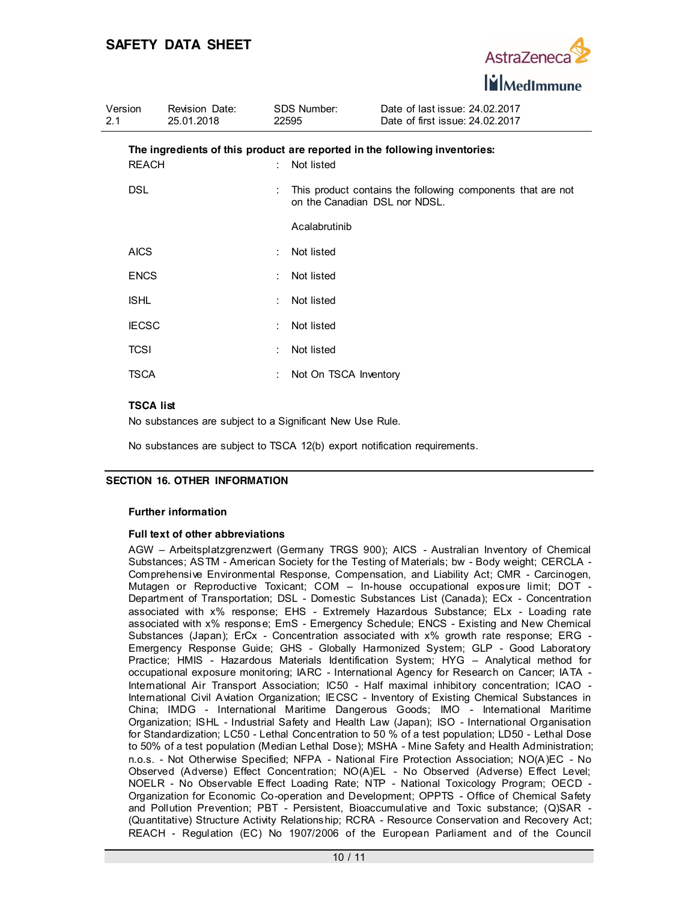

| Version<br>2.1 | <b>Revision Date:</b><br>25.01.2018 |                             | SDS Number:<br>22595          | Date of last issue: 24.02.2017<br>Date of first issue: 24.02.2017          |
|----------------|-------------------------------------|-----------------------------|-------------------------------|----------------------------------------------------------------------------|
| <b>REACH</b>   |                                     | $\mathcal{L}_{\mathcal{A}}$ | Not listed                    | The ingredients of this product are reported in the following inventories: |
| <b>DSL</b>     |                                     |                             | on the Canadian DSL nor NDSL. | This product contains the following components that are not                |
|                |                                     |                             | Acalabrutinib                 |                                                                            |
| <b>AICS</b>    |                                     |                             | Not listed                    |                                                                            |
| <b>ENCS</b>    |                                     |                             | Not listed                    |                                                                            |
| <b>ISHL</b>    |                                     | ÷                           | Not listed                    |                                                                            |
| <b>IECSC</b>   |                                     | ÷                           | Not listed                    |                                                                            |
| TCSI           |                                     | ÷                           | Not listed                    |                                                                            |
| TSCA           |                                     |                             | Not On TSCA Inventory         |                                                                            |

### **TSCA list**

No substances are subject to a Significant New Use Rule.

No substances are subject to TSCA 12(b) export notification requirements.

## **SECTION 16. OTHER INFORMATION**

### **Further information**

### **Full text of other abbreviations**

AGW – Arbeitsplatzgrenzwert (Germany TRGS 900); AICS - Australian Inventory of Chemical Substances; ASTM - American Society for the Testing of Materials; bw - Body weight; CERCLA - Comprehensive Environmental Response, Compensation, and Liability Act; CMR - Carcinogen, Mutagen or Reproductive Toxicant; COM – In-house occupational exposure limit; DOT - Department of Transportation; DSL - Domestic Substances List (Canada); ECx - Concentration associated with x% response; EHS - Extremely Hazardous Substance; ELx - Loading rate associated with x% response; EmS - Emergency Schedule; ENCS - Existing and New Chemical Substances (Japan); ErCx - Concentration associated with x% growth rate response; ERG - Emergency Response Guide; GHS - Globally Harmonized System; GLP - Good Laboratory Practice; HMIS - Hazardous Materials Identification System; HYG – Analytical method for occupational exposure monitoring; IARC - International Agency for Research on Cancer; IATA - International Air Transport Association; IC50 - Half maximal inhibitory concentration; ICAO - International Civil Aviation Organization; IECSC - Inventory of Existing Chemical Substances in China; IMDG - International Maritime Dangerous Goods; IMO - International Maritime Organization; ISHL - Industrial Safety and Health Law (Japan); ISO - International Organisation for Standardization; LC50 - Lethal Concentration to 50 % of a test population; LD50 - Lethal Dose to 50% of a test population (Median Lethal Dose); MSHA - Mine Safety and Health Administration; n.o.s. - Not Otherwise Specified; NFPA - National Fire Protection Association; NO(A)EC - No Observed (Adverse) Effect Concentration; NO(A)EL - No Observed (Adverse) Effect Level; NOELR - No Observable Effect Loading Rate; NTP - National Toxicology Program; OECD - Organization for Economic Co-operation and Development; OPPTS - Office of Chemical Safety and Pollution Prevention; PBT - Persistent, Bioaccumulative and Toxic substance; (Q)SAR - (Quantitative) Structure Activity Relationship; RCRA - Resource Conservation and Recovery Act; REACH - Regulation (EC) No 1907/2006 of the European Parliament and of the Council